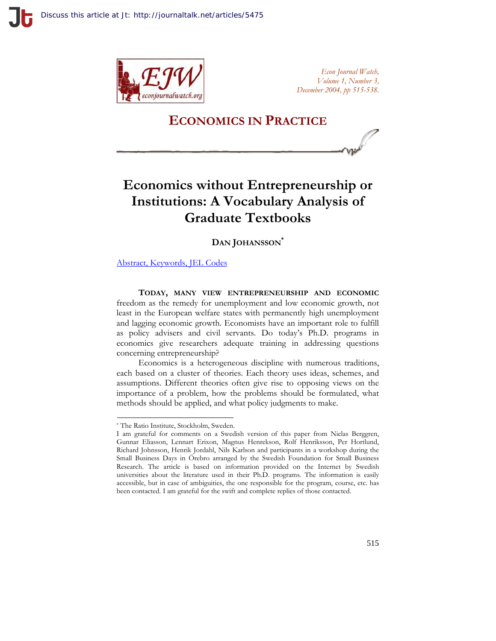

*Econ Journal Watch, Volume 1, Number 3, December 2004, pp 515-538.*

# **ECONOMICS IN PRACTICE**

# **Economics without Entrepreneurship or Institutions: A Vocabulary Analysis of Graduate Textbooks**

**DAN JOHANSSON\***

[Abstract, Keywords, JEL Codes](http://www.econjournalwatch.org/pdf/JohanssonAbstractDecember2004.pdf)

**TODAY, MANY VIEW ENTREPRENEURSHIP AND ECONOMIC**  freedom as the remedy for unemployment and low economic growth, not least in the European welfare states with permanently high unemployment and lagging economic growth. Economists have an important role to fulfill as policy advisers and civil servants. Do today's Ph.D. programs in economics give researchers adequate training in addressing questions concerning entrepreneurship?

Economics is a heterogeneous discipline with numerous traditions, each based on a cluster of theories. Each theory uses ideas, schemes, and assumptions. Different theories often give rise to opposing views on the importance of a problem, how the problems should be formulated, what methods should be applied, and what policy judgments to make.

<sup>\*</sup> The Ratio Institute, Stockholm, Sweden.

I am grateful for comments on a Swedish version of this paper from Niclas Berggren, Gunnar Eliasson, Lennart Erixon, Magnus Henrekson, Rolf Henriksson, Per Hortlund, Richard Johnsson, Henrik Jordahl, Nils Karlson and participants in a workshop during the Small Business Days in Örebro arranged by the Swedish Foundation for Small Business Research. The article is based on information provided on the Internet by Swedish universities about the literature used in their Ph.D. programs. The information is easily accessible, but in case of ambiguities, the one responsible for the program, course, etc. has been contacted. I am grateful for the swift and complete replies of those contacted.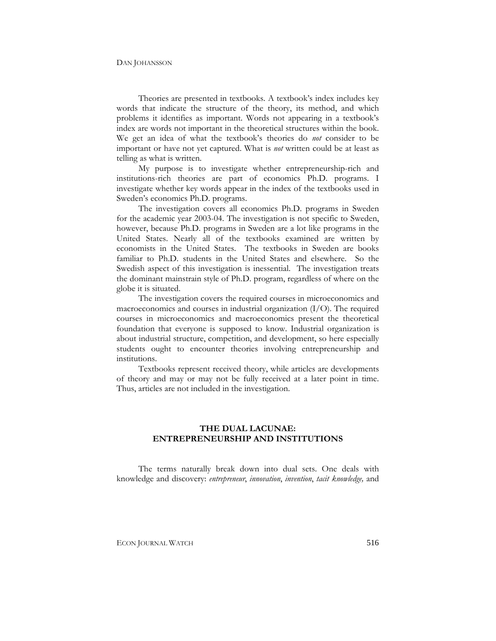Theories are presented in textbooks. A textbook's index includes key words that indicate the structure of the theory, its method, and which problems it identifies as important. Words not appearing in a textbook's index are words not important in the theoretical structures within the book. We get an idea of what the textbook's theories do *not* consider to be important or have not yet captured. What is *not* written could be at least as telling as what is written.

My purpose is to investigate whether entrepreneurship-rich and institutions-rich theories are part of economics Ph.D. programs. I investigate whether key words appear in the index of the textbooks used in Sweden's economics Ph.D. programs.

The investigation covers all economics Ph.D. programs in Sweden for the academic year 2003-04. The investigation is not specific to Sweden, however, because Ph.D. programs in Sweden are a lot like programs in the United States. Nearly all of the textbooks examined are written by economists in the United States. The textbooks in Sweden are books familiar to Ph.D. students in the United States and elsewhere. So the Swedish aspect of this investigation is inessential. The investigation treats the dominant mainstrain style of Ph.D. program, regardless of where on the globe it is situated.

The investigation covers the required courses in microeconomics and macroeconomics and courses in industrial organization (I/O). The required courses in microeconomics and macroeconomics present the theoretical foundation that everyone is supposed to know. Industrial organization is about industrial structure, competition, and development, so here especially students ought to encounter theories involving entrepreneurship and institutions.

Textbooks represent received theory, while articles are developments of theory and may or may not be fully received at a later point in time. Thus, articles are not included in the investigation.

### **THE DUAL LACUNAE: ENTREPRENEURSHIP AND INSTITUTIONS**

The terms naturally break down into dual sets. One deals with knowledge and discovery: *entrepreneur*, *innovation*, *invention*, *tacit knowledge,* and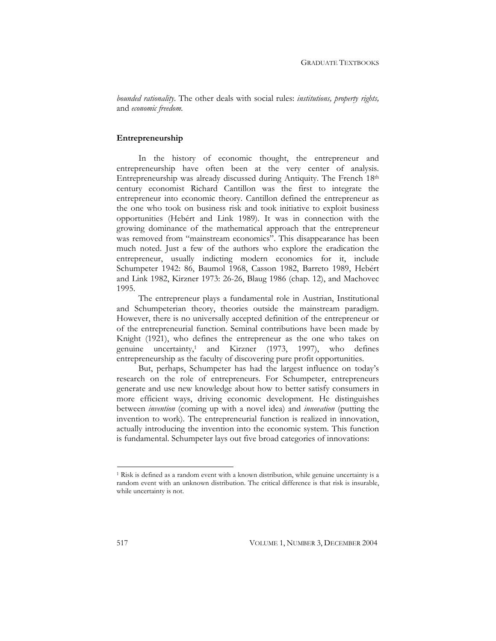*bounded rationality*. The other deals with social rules: *institutions, property rights,*  and *economic freedom*.

### **Entrepreneurship**

In the history of economic thought, the entrepreneur and entrepreneurship have often been at the very center of analysis. Entrepreneurship was already discussed during Antiquity. The French 18th century economist Richard Cantillon was the first to integrate the entrepreneur into economic theory. Cantillon defined the entrepreneur as the one who took on business risk and took initiative to exploit business opportunities (Hebért and Link 1989). It was in connection with the growing dominance of the mathematical approach that the entrepreneur was removed from "mainstream economics". This disappearance has been much noted. Just a few of the authors who explore the eradication the entrepreneur, usually indicting modern economics for it, include Schumpeter 1942: 86, Baumol 1968, Casson 1982, Barreto 1989, Hebért and Link 1982, Kirzner 1973: 26-26, Blaug 1986 (chap. 12), and Machovec 1995.

The entrepreneur plays a fundamental role in Austrian, Institutional and Schumpeterian theory, theories outside the mainstream paradigm. However, there is no universally accepted definition of the entrepreneur or of the entrepreneurial function. Seminal contributions have been made by Knight (1921), who defines the entrepreneur as the one who takes on genuine uncertainty,<sup>1</sup> and Kirzner (1973, 1997), who defines entrepreneurship as the faculty of discovering pure profit opportunities.

But, perhaps, Schumpeter has had the largest influence on today's research on the role of entrepreneurs. For Schumpeter, entrepreneurs generate and use new knowledge about how to better satisfy consumers in more efficient ways, driving economic development. He distinguishes between *invention* (coming up with a novel idea) and *innovation* (putting the invention to work). The entrepreneurial function is realized in innovation, actually introducing the invention into the economic system. This function is fundamental. Schumpeter lays out five broad categories of innovations:

<sup>1</sup> Risk is defined as a random event with a known distribution, while genuine uncertainty is a random event with an unknown distribution. The critical difference is that risk is insurable, while uncertainty is not.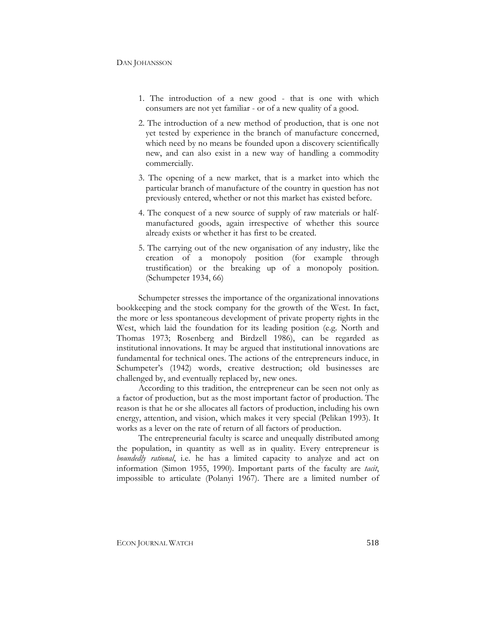- 1. The introduction of a new good that is one with which consumers are not yet familiar - or of a new quality of a good.
- 2. The introduction of a new method of production, that is one not yet tested by experience in the branch of manufacture concerned, which need by no means be founded upon a discovery scientifically new, and can also exist in a new way of handling a commodity commercially.
- 3. The opening of a new market, that is a market into which the particular branch of manufacture of the country in question has not previously entered, whether or not this market has existed before.
- 4. The conquest of a new source of supply of raw materials or halfmanufactured goods, again irrespective of whether this source already exists or whether it has first to be created.
- 5. The carrying out of the new organisation of any industry, like the creation of a monopoly position (for example through trustification) or the breaking up of a monopoly position. (Schumpeter 1934, 66)

Schumpeter stresses the importance of the organizational innovations bookkeeping and the stock company for the growth of the West. In fact, the more or less spontaneous development of private property rights in the West, which laid the foundation for its leading position (e.g. North and Thomas 1973; Rosenberg and Birdzell 1986), can be regarded as institutional innovations. It may be argued that institutional innovations are fundamental for technical ones. The actions of the entrepreneurs induce, in Schumpeter's (1942) words, creative destruction; old businesses are challenged by, and eventually replaced by, new ones.

According to this tradition, the entrepreneur can be seen not only as a factor of production, but as the most important factor of production. The reason is that he or she allocates all factors of production, including his own energy, attention, and vision, which makes it very special (Pelikan 1993). It works as a lever on the rate of return of all factors of production.

The entrepreneurial faculty is scarce and unequally distributed among the population, in quantity as well as in quality. Every entrepreneur is *boundedly rational*, i.e. he has a limited capacity to analyze and act on information (Simon 1955, 1990). Important parts of the faculty are *tacit*, impossible to articulate (Polanyi 1967). There are a limited number of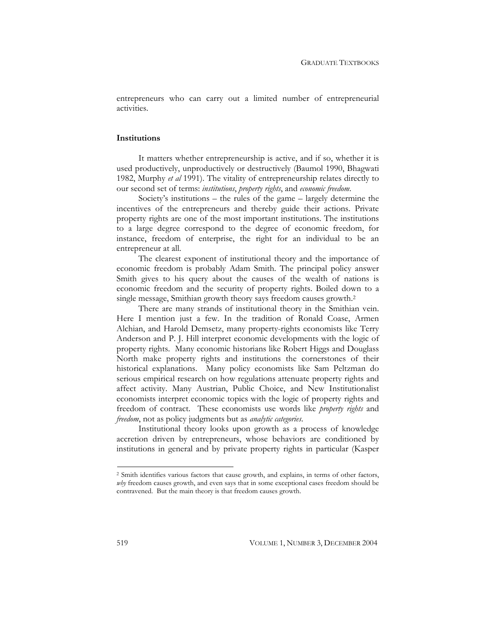entrepreneurs who can carry out a limited number of entrepreneurial activities.

### **Institutions**

It matters whether entrepreneurship is active, and if so, whether it is used productively, unproductively or destructively (Baumol 1990, Bhagwati 1982, Murphy *et al* 1991). The vitality of entrepreneurship relates directly to our second set of terms: *institutions*, *property rights*, and *economic freedom*.

Society's institutions – the rules of the game – largely determine the incentives of the entrepreneurs and thereby guide their actions. Private property rights are one of the most important institutions. The institutions to a large degree correspond to the degree of economic freedom, for instance, freedom of enterprise, the right for an individual to be an entrepreneur at all.

The clearest exponent of institutional theory and the importance of economic freedom is probably Adam Smith. The principal policy answer Smith gives to his query about the causes of the wealth of nations is economic freedom and the security of property rights. Boiled down to a single message, Smithian growth theory says freedom causes growth.2

There are many strands of institutional theory in the Smithian vein. Here I mention just a few. In the tradition of Ronald Coase, Armen Alchian, and Harold Demsetz, many property-rights economists like Terry Anderson and P. J. Hill interpret economic developments with the logic of property rights. Many economic historians like Robert Higgs and Douglass North make property rights and institutions the cornerstones of their historical explanations. Many policy economists like Sam Peltzman do serious empirical research on how regulations attenuate property rights and affect activity. Many Austrian, Public Choice, and New Institutionalist economists interpret economic topics with the logic of property rights and freedom of contract. These economists use words like *property rights* and *freedom*, not as policy judgments but as *analytic categories*.

Institutional theory looks upon growth as a process of knowledge accretion driven by entrepreneurs, whose behaviors are conditioned by institutions in general and by private property rights in particular (Kasper

<sup>2</sup> Smith identifies various factors that cause growth, and explains, in terms of other factors, *why* freedom causes growth, and even says that in some exceptional cases freedom should be contravened. But the main theory is that freedom causes growth.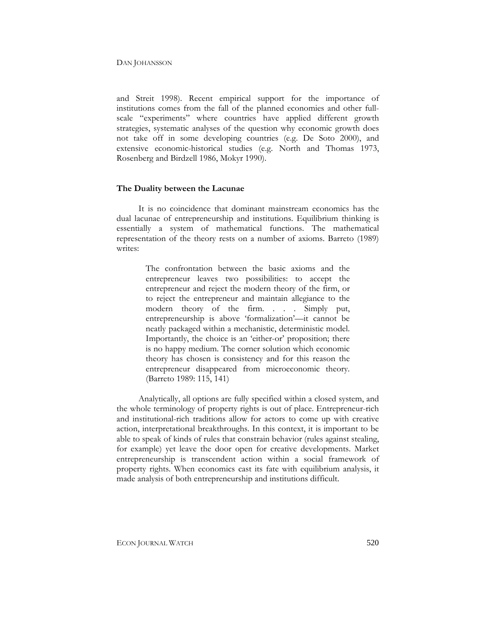and Streit 1998). Recent empirical support for the importance of institutions comes from the fall of the planned economies and other fullscale "experiments" where countries have applied different growth strategies, systematic analyses of the question why economic growth does not take off in some developing countries (e.g. De Soto 2000), and extensive economic-historical studies (e.g. North and Thomas 1973, Rosenberg and Birdzell 1986, Mokyr 1990).

### **The Duality between the Lacunae**

It is no coincidence that dominant mainstream economics has the dual lacunae of entrepreneurship and institutions. Equilibrium thinking is essentially a system of mathematical functions. The mathematical representation of the theory rests on a number of axioms. Barreto (1989) writes:

> The confrontation between the basic axioms and the entrepreneur leaves two possibilities: to accept the entrepreneur and reject the modern theory of the firm, or to reject the entrepreneur and maintain allegiance to the modern theory of the firm. . . . Simply put, entrepreneurship is above 'formalization'—it cannot be neatly packaged within a mechanistic, deterministic model. Importantly, the choice is an 'either-or' proposition; there is no happy medium. The corner solution which economic theory has chosen is consistency and for this reason the entrepreneur disappeared from microeconomic theory. (Barreto 1989: 115, 141)

Analytically, all options are fully specified within a closed system, and the whole terminology of property rights is out of place. Entrepreneur-rich and institutional-rich traditions allow for actors to come up with creative action, interpretational breakthroughs. In this context, it is important to be able to speak of kinds of rules that constrain behavior (rules against stealing, for example) yet leave the door open for creative developments. Market entrepreneurship is transcendent action within a social framework of property rights. When economics cast its fate with equilibrium analysis, it made analysis of both entrepreneurship and institutions difficult.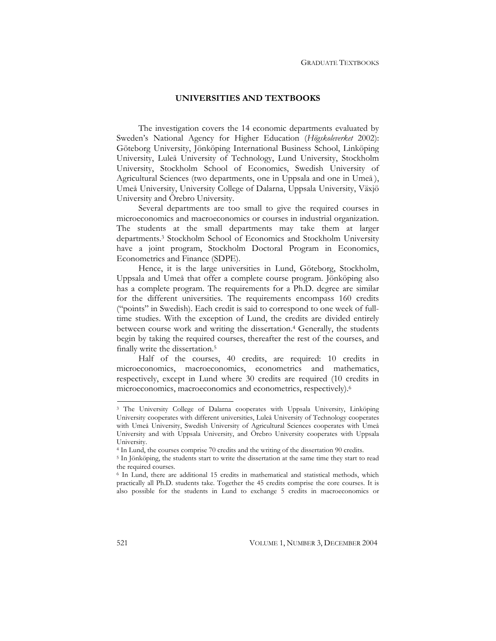### **UNIVERSITIES AND TEXTBOOKS**

The investigation covers the 14 economic departments evaluated by Sweden's National Agency for Higher Education (*Högskoleverket* 2002): Göteborg University, Jönköping International Business School, Linköping University, Luleå University of Technology, Lund University, Stockholm University, Stockholm School of Economics, Swedish University of Agricultural Sciences (two departments, one in Uppsala and one in Umeå ), Umeå University, University College of Dalarna, Uppsala University, Växjö University and Örebro University.

Several departments are too small to give the required courses in microeconomics and macroeconomics or courses in industrial organization. The students at the small departments may take them at larger departments.3 Stockholm School of Economics and Stockholm University have a joint program, Stockholm Doctoral Program in Economics, Econometrics and Finance (SDPE).

Hence, it is the large universities in Lund, Göteborg, Stockholm, Uppsala and Umeå that offer a complete course program. Jönköping also has a complete program. The requirements for a Ph.D. degree are similar for the different universities. The requirements encompass 160 credits ("points" in Swedish). Each credit is said to correspond to one week of fulltime studies. With the exception of Lund, the credits are divided entirely between course work and writing the dissertation.<sup>4</sup> Generally, the students begin by taking the required courses, thereafter the rest of the courses, and finally write the dissertation.5

Half of the courses, 40 credits, are required: 10 credits in microeconomics, macroeconomics, econometrics and mathematics, respectively, except in Lund where 30 credits are required (10 credits in microeconomics, macroeconomics and econometrics, respectively).6

<sup>&</sup>lt;sup>3</sup> The University College of Dalarna cooperates with Uppsala University, Linköping University cooperates with different universities, Luleå University of Technology cooperates with Umeå University, Swedish University of Agricultural Sciences cooperates with Umeå University and with Uppsala University, and Örebro University cooperates with Uppsala University.

<sup>&</sup>lt;sup>5</sup> In Jönköping, the students start to write the dissertation at the same time they start to read <sup>5</sup> In Jönköping, the students start to write the dissertation at the same time they start to read the required courses.

<sup>6</sup> In Lund, there are additional 15 credits in mathematical and statistical methods, which practically all Ph.D. students take. Together the 45 credits comprise the core courses. It is also possible for the students in Lund to exchange 5 credits in macroeconomics or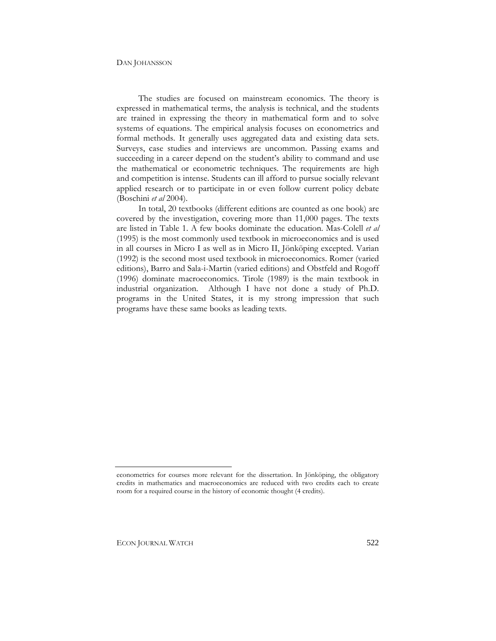The studies are focused on mainstream economics. The theory is expressed in mathematical terms, the analysis is technical, and the students are trained in expressing the theory in mathematical form and to solve systems of equations. The empirical analysis focuses on econometrics and formal methods. It generally uses aggregated data and existing data sets. Surveys, case studies and interviews are uncommon. Passing exams and succeeding in a career depend on the student's ability to command and use the mathematical or econometric techniques. The requirements are high and competition is intense. Students can ill afford to pursue socially relevant applied research or to participate in or even follow current policy debate (Boschini *et al* 2004).

In total, 20 textbooks (different editions are counted as one book) are covered by the investigation, covering more than 11,000 pages. The texts are listed in Table 1. A few books dominate the education. Mas-Colell *et al* (1995) is the most commonly used textbook in microeconomics and is used in all courses in Micro I as well as in Micro II, Jönköping excepted. Varian (1992) is the second most used textbook in microeconomics. Romer (varied editions), Barro and Sala-i-Martin (varied editions) and Obstfeld and Rogoff (1996) dominate macroeconomics. Tirole (1989) is the main textbook in industrial organization. Although I have not done a study of Ph.D. programs in the United States, it is my strong impression that such programs have these same books as leading texts.

econometrics for courses more relevant for the dissertation. In Jönköping, the obligatory credits in mathematics and macroeconomics are reduced with two credits each to create room for a required course in the history of economic thought (4 credits).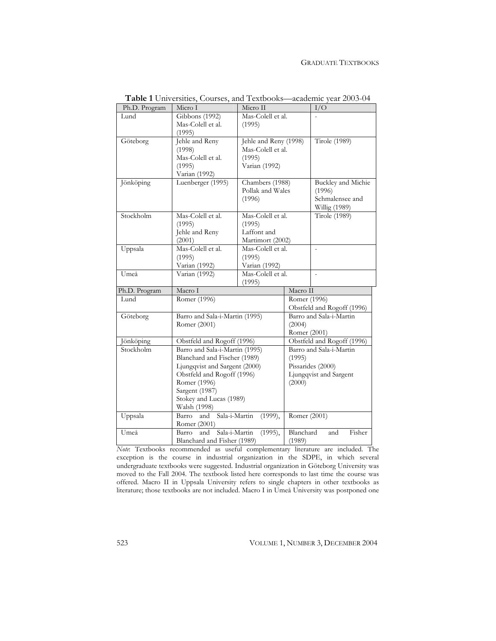### GRADUATE TEXTBOOKS

| Ph.D. Program | Micro I<br>Micro II            |                                          |                            | I/O                       |  |
|---------------|--------------------------------|------------------------------------------|----------------------------|---------------------------|--|
| Lund          | Gibbons (1992)                 | Mas-Colell et al.                        |                            |                           |  |
|               | Mas-Colell et al.              | (1995)                                   |                            |                           |  |
|               | (1995)                         |                                          |                            |                           |  |
| Göteborg      | Jehle and Reny                 | Jehle and Reny (1998)                    | <b>Tirole</b> (1989)       |                           |  |
|               | (1998)                         | Mas-Colell et al.                        |                            |                           |  |
|               | Mas-Colell et al.              | (1995)                                   |                            |                           |  |
|               | (1995)                         | Varian (1992)                            |                            |                           |  |
|               | Varian (1992)                  |                                          |                            |                           |  |
| Jönköping     | Luenberger (1995)              | Chambers (1988)                          |                            | <b>Buckley</b> and Michie |  |
|               |                                | Pollak and Wales                         |                            | (1996)                    |  |
|               |                                | (1996)                                   |                            | Schmalensee and           |  |
|               |                                |                                          |                            | Willig (1989)             |  |
| Stockholm     | Mas-Colell et al.              | Mas-Colell et al.                        |                            | <b>Tirole</b> (1989)      |  |
|               | (1995)                         | (1995)                                   |                            |                           |  |
|               | Jehle and Reny                 | Laffont and                              |                            |                           |  |
|               | (2001)                         | Martimort (2002)                         |                            |                           |  |
| Uppsala       | Mas-Colell et al.              | Mas-Colell et al.                        |                            |                           |  |
|               | (1995)                         | (1995)                                   |                            |                           |  |
|               | Varian (1992)                  | Varian (1992)                            |                            |                           |  |
| Umeå          | Varian (1992)                  | Mas-Colell et al.                        |                            |                           |  |
|               |                                | (1995)                                   |                            |                           |  |
| Ph.D. Program | Macro I                        |                                          | Macro II                   |                           |  |
| Lund          | Romer (1996)                   |                                          |                            | Romer (1996)              |  |
|               |                                |                                          | Obstfeld and Rogoff (1996) |                           |  |
| Göteborg      | Barro and Sala-i-Martin (1995) |                                          | Barro and Sala-i-Martin    |                           |  |
|               | Romer (2001)                   |                                          | (2004)                     |                           |  |
|               |                                |                                          |                            | Romer (2001)              |  |
| Jönköping     | Obstfeld and Rogoff (1996)     |                                          | Obstfeld and Rogoff (1996) |                           |  |
| Stockholm     | Barro and Sala-i-Martin (1995) |                                          | Barro and Sala-i-Martin    |                           |  |
|               | Blanchard and Fischer (1989)   |                                          | (1995)                     |                           |  |
|               | Ljungqvist and Sargent (2000)  |                                          | Pissarides (2000)          |                           |  |
|               | Obstfeld and Rogoff (1996)     |                                          | Ljungqvist and Sargent     |                           |  |
|               | Romer (1996)                   |                                          | (2000)                     |                           |  |
|               | Sargent (1987)                 |                                          |                            |                           |  |
|               | Stokey and Lucas (1989)        |                                          |                            |                           |  |
|               | Walsh (1998)                   |                                          |                            |                           |  |
| Uppsala       | Barro<br>and                   | Sala-i-Martin<br>Romer (2001)<br>(1999), |                            |                           |  |
|               | Romer (2001)                   |                                          |                            |                           |  |
| Umeå          | and<br>Barro                   | Sala-i-Martin<br>(1995),                 | Blanchard                  | Fisher<br>and             |  |
|               | Blanchard and Fisher (1989)    |                                          | (1989)                     |                           |  |

**Table 1** Universities, Courses, and Textbooks—academic year 2003-04

*Note*: Textbooks recommended as useful complementary literature are included. The exception is the course in industrial organization in the SDPE, in which several undergraduate textbooks were suggested. Industrial organization in Göteborg University was moved to the Fall 2004. The textbook listed here corresponds to last time the course was offered. Macro II in Uppsala University refers to single chapters in other textbooks as literature; those textbooks are not included. Macro I in Umeå University was postponed one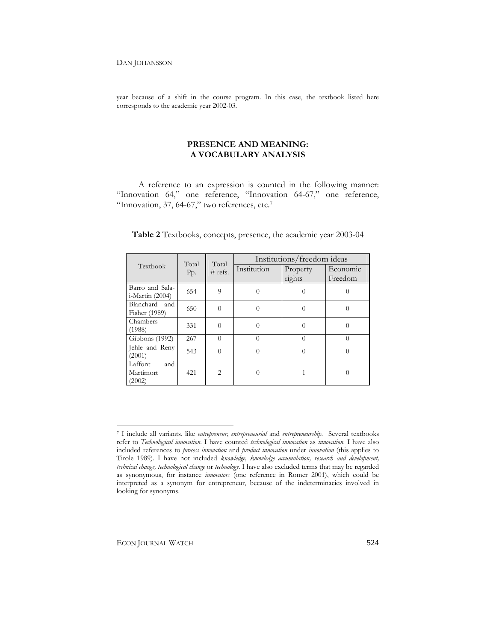year because of a shift in the course program. In this case, the textbook listed here corresponds to the academic year 2002-03.

## **PRESENCE AND MEANING: A VOCABULARY ANALYSIS**

A reference to an expression is counted in the following manner: "Innovation 64," one reference, "Innovation 64-67," one reference, "Innovation, 37, 64-67," two references, etc.<sup>7</sup>

| Textbook                              | Total<br>Pp. | Total<br>$#$ refs. | Institutions/freedom ideas |                    |                     |  |
|---------------------------------------|--------------|--------------------|----------------------------|--------------------|---------------------|--|
|                                       |              |                    | Institution                | Property<br>rights | Economic<br>Freedom |  |
| Barro and Sala-<br>$i$ -Martin (2004) | 654          | $\overline{Q}$     | $\Omega$                   | $\Omega$           | $\Omega$            |  |
| Blanchard and<br>Fisher (1989)        | 650          | $\Omega$           | $\Omega$                   | $\Omega$           | $\theta$            |  |
| Chambers<br>(1988)                    | 331          | $\theta$           | $\Omega$                   | 0                  | $\theta$            |  |
| Gibbons (1992)                        | 267          | $\Omega$           | $\Omega$                   | $\left( \right)$   | $\Omega$            |  |
| Jehle and Reny<br>(2001)              | 543          | $\Omega$           | $\Omega$                   | 0                  | $\theta$            |  |
| Laffont<br>and<br>Martimort<br>(2002) | 421          | $\mathfrak{D}$     | $\Omega$                   |                    | $\Omega$            |  |

### **Table 2** Textbooks, concepts, presence, the academic year 2003-04

<sup>7</sup> I include all variants, like *entrepreneur*, *entrepreneurial* and *entrepreneurship*. Several textbooks refer to *Technological innovation*. I have counted *technological innovation* as *innovation*. I have also included references to *process innovation* and *product innovation* under *innovation* (this applies to Tirole 1989). I have not included *knowledge, knowledge accumulation, research and development, technical change, technological change* or *technology*. I have also excluded terms that may be regarded as synonymous, for instance *innovators* (one reference in Romer 2001), which could be interpreted as a synonym for entrepreneur, because of the indeterminacies involved in looking for synonyms.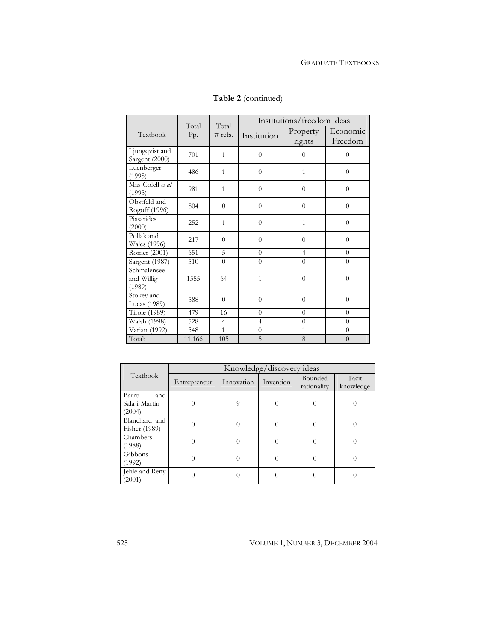|                                     | Total<br>Pp. | Total<br>$#$ refs. | Institutions/freedom ideas |                    |                     |  |
|-------------------------------------|--------------|--------------------|----------------------------|--------------------|---------------------|--|
| Textbook                            |              |                    | Institution                | Property<br>rights | Economic<br>Freedom |  |
| Ljungqvist and<br>Sargent (2000)    | 701          | $\mathbf{1}$       | $\overline{0}$             | $\theta$           | $\overline{0}$      |  |
| Luenberger<br>(1995)                | 486          | $\mathbf{1}$       | $\overline{0}$             | $\mathbf{1}$       | $\overline{0}$      |  |
| Mas-Colell et al<br>(1995)          | 981          | $\mathbf{1}$       | $\overline{0}$             | $\overline{0}$     | $\overline{0}$      |  |
| Obstfeld and<br>Rogoff (1996)       | 804          | $\overline{0}$     | $\overline{0}$             | $\overline{0}$     | $\overline{0}$      |  |
| Pissarides<br>(2000)                | 252          | 1                  | $\theta$                   | 1                  | $\overline{0}$      |  |
| Pollak and<br>Wales (1996)          | 217          | $\theta$           | $\theta$                   | $\theta$           | $\overline{0}$      |  |
| Romer (2001)                        | 651          | 5                  | $\Omega$                   | $\overline{4}$     | $\theta$            |  |
| Sargent (1987)                      | 510          | $\overline{0}$     | $\theta$                   | $\overline{0}$     | $\overline{0}$      |  |
| Schmalensee<br>and Willig<br>(1989) | 1555         | 64                 | $\mathbf{1}$               | $\theta$           | $\overline{0}$      |  |
| Stokey and<br>Lucas (1989)          | 588          | $\theta$           | $\theta$                   | $\theta$           | $\theta$            |  |
| <b>Tirole</b> (1989)                | 479          | 16                 | $\Omega$                   | $\theta$           | $\Omega$            |  |
| Walsh (1998)                        | 528          | $\overline{4}$     | $\overline{4}$             | $\overline{0}$     | $\overline{0}$      |  |
| Varian (1992)                       | 548          | $\mathbf{1}$       | $\overline{0}$             | $\mathbf{1}$       | $\overline{0}$      |  |
| Total:                              | 11,166       | 105                | 5                          | 8                  | $\overline{0}$      |  |

# **Table 2** (continued)

| Textbook                                | Knowledge/discovery ideas |            |           |                        |                    |  |  |
|-----------------------------------------|---------------------------|------------|-----------|------------------------|--------------------|--|--|
|                                         | Entrepreneur              | Innovation | Invention | Bounded<br>rationality | Tacit<br>knowledge |  |  |
| and<br>Barro<br>Sala-i-Martin<br>(2004) |                           | 9          |           |                        |                    |  |  |
| Blanchard and<br>Fisher (1989)          |                           | 0          | 0         | 0                      |                    |  |  |
| Chambers<br>(1988)                      | 0                         | $\theta$   | $\Omega$  | $\Omega$               | 0                  |  |  |
| Gibbons<br>(1992)                       | 0                         | $\theta$   | 0         | $\theta$               | 0                  |  |  |
| Jehle and Reny<br>(2001)                |                           |            |           | ∩                      |                    |  |  |

525 VOLUME 1, NUMBER 3, DECEMBER 2004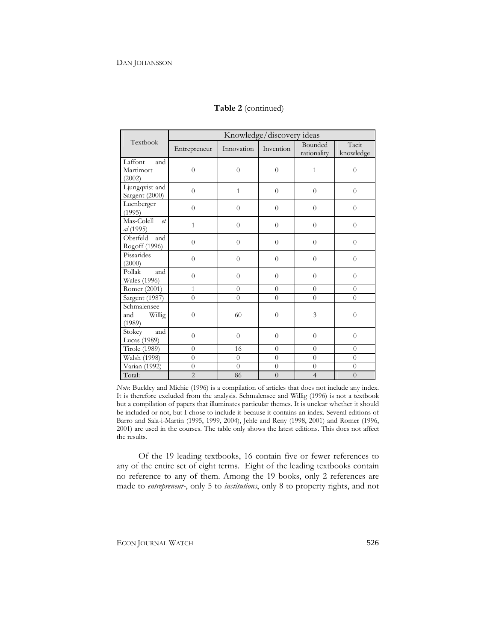|                                        | Knowledge/discovery ideas |                |                |                        |                    |  |
|----------------------------------------|---------------------------|----------------|----------------|------------------------|--------------------|--|
| Textbook                               | Entrepreneur              | Innovation     | Invention      | Bounded<br>rationality | Tacit<br>knowledge |  |
| Laffont<br>and<br>Martimort<br>(2002)  | $\overline{0}$            | $\overline{0}$ | $\overline{0}$ | $\mathbf{1}$           | $\overline{0}$     |  |
| Ljungqvist and<br>Sargent (2000)       | $\overline{0}$            | $\mathbf{1}$   | $\overline{0}$ | $\overline{0}$         | $\overline{0}$     |  |
| Luenberger<br>(1995)                   | $\theta$                  | $\theta$       | $\Omega$       | $\Omega$               | $\Omega$           |  |
| Mas-Colell<br>$e$ t<br>al (1995)       | $\overline{1}$            | $\overline{0}$ | $\overline{0}$ | $\overline{0}$         | $\overline{0}$     |  |
| Obstfeld<br>and<br>Rogoff (1996)       | $\overline{0}$            | $\theta$       | $\Omega$       | $\overline{0}$         | $\overline{0}$     |  |
| Pissarides<br>(2000)                   | $\theta$                  | $\overline{0}$ | $\Omega$       | $\theta$               | $\theta$           |  |
| Pollak<br>and<br>Wales (1996)          | $\theta$                  | $\theta$       | $\Omega$       | $\overline{0}$         | $\overline{0}$     |  |
| Romer (2001)                           | $\mathbf{1}$              | $\theta$       | $\overline{0}$ | $\Omega$               | $\overline{0}$     |  |
| Sargent (1987)                         | $\theta$                  | $\theta$       | $\Omega$       | $\theta$               | $\theta$           |  |
| Schmalensee<br>Willig<br>and<br>(1989) | $\overline{0}$            | 60             | $\theta$       | 3                      | $\overline{0}$     |  |
| and<br>Stokey<br>Lucas (1989)          | $\overline{0}$            | $\overline{0}$ | $\overline{0}$ | $\overline{0}$         | $\overline{0}$     |  |
| <b>Tirole</b> (1989)                   | $\Omega$                  | 16             | $\Omega$       | $\Omega$               | $\Omega$           |  |
| Walsh (1998)                           | $\theta$                  | $\theta$       | $\theta$       | $\theta$               | $\theta$           |  |
| Varian (1992)                          | $\overline{0}$            | $\overline{0}$ | $\overline{0}$ | $\overline{0}$         | $\overline{0}$     |  |
| Total:                                 | $\overline{2}$            | 86             | $\overline{0}$ | $\overline{4}$         | $\overline{0}$     |  |

### **Table 2** (continued)

*Note*: Buckley and Michie (1996) is a compilation of articles that does not include any index. It is therefore excluded from the analysis. Schmalensee and Willig (1996) is not a textbook but a compilation of papers that illuminates particular themes. It is unclear whether it should be included or not, but I chose to include it because it contains an index. Several editions of Barro and Sala-i-Martin (1995, 1999, 2004), Jehle and Reny (1998, 2001) and Romer (1996, 2001) are used in the courses. The table only shows the latest editions. This does not affect the results.

Of the 19 leading textbooks, 16 contain five or fewer references to any of the entire set of eight terms. Eight of the leading textbooks contain no reference to any of them. Among the 19 books, only 2 references are made to *entrepreneur-*, only 5 to *institutions*, only 8 to property rights, and not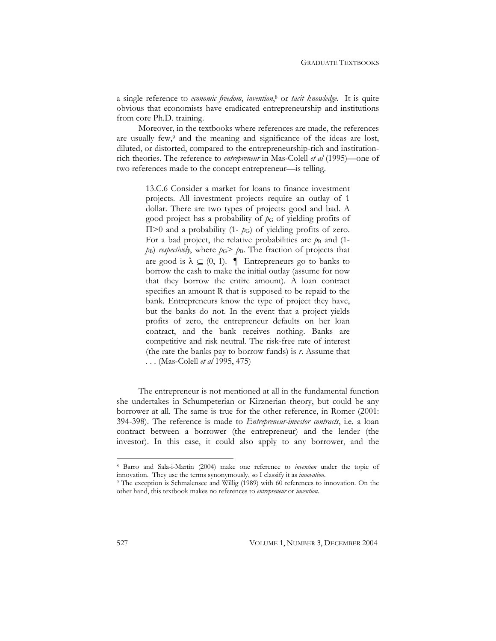a single reference to *economic freedom*, *invention*, 8 or *tacit knowledge*. It is quite obvious that economists have eradicated entrepreneurship and institutions from core Ph.D. training.

Moreover, in the textbooks where references are made, the references are usually few,9 and the meaning and significance of the ideas are lost, diluted, or distorted, compared to the entrepreneurship-rich and institutionrich theories. The reference to *entrepreneur* in Mas-Colell *et al* (1995)—one of two references made to the concept entrepreneur—is telling.

> 13.C.6 Consider a market for loans to finance investment projects. All investment projects require an outlay of 1 dollar. There are two types of projects: good and bad. A good project has a probability of  $p<sub>G</sub>$  of yielding profits of  $\Pi$  >0 and a probability (1- $p$ <sub>G</sub>) of yielding profits of zero. For a bad project, the relative probabilities are  $p_B$  and (1*p*B) *respectively*, where *p*G> *p*B. The fraction of projects that are good is  $\lambda \subseteq (0, 1)$ .  $\blacksquare$  Entrepreneurs go to banks to borrow the cash to make the initial outlay (assume for now that they borrow the entire amount). A loan contract specifies an amount R that is supposed to be repaid to the bank. Entrepreneurs know the type of project they have, but the banks do not. In the event that a project yields profits of zero, the entrepreneur defaults on her loan contract, and the bank receives nothing. Banks are competitive and risk neutral. The risk-free rate of interest (the rate the banks pay to borrow funds) is *r*. Assume that . . . (Mas-Colell *et al* 1995, 475)

The entrepreneur is not mentioned at all in the fundamental function she undertakes in Schumpeterian or Kirznerian theory, but could be any borrower at all. The same is true for the other reference, in Romer (2001: 394-398). The reference is made to *Entrepreneur-investor contracts*, i.e. a loan contract between a borrower (the entrepreneur) and the lender (the investor). In this case, it could also apply to any borrower, and the

<sup>8</sup> Barro and Sala-i-Martin (2004) make one reference to *invention* under the topic of innovation. They use the terms synonymously, so I classify it as *innovation*. 9 The exception is Schmalensee and Willig (1989) with 60 references to innovation. On the

other hand, this textbook makes no references to *entrepreneur* or *invention*.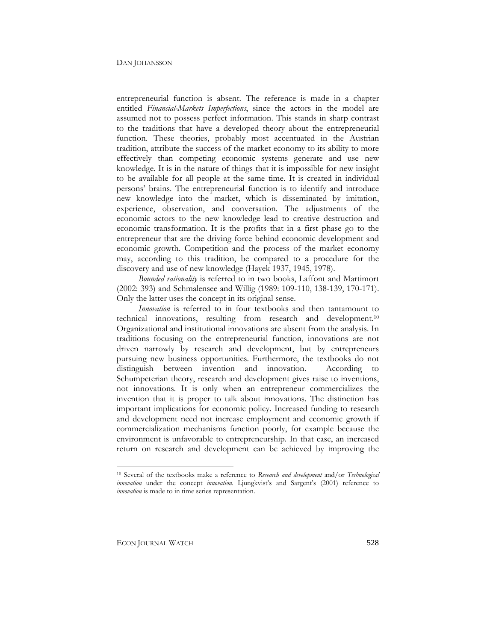entrepreneurial function is absent. The reference is made in a chapter entitled *Financial-Markets Imperfections*, since the actors in the model are assumed not to possess perfect information. This stands in sharp contrast to the traditions that have a developed theory about the entrepreneurial function. These theories, probably most accentuated in the Austrian tradition, attribute the success of the market economy to its ability to more effectively than competing economic systems generate and use new knowledge. It is in the nature of things that it is impossible for new insight to be available for all people at the same time. It is created in individual persons' brains. The entrepreneurial function is to identify and introduce new knowledge into the market, which is disseminated by imitation, experience, observation, and conversation. The adjustments of the economic actors to the new knowledge lead to creative destruction and economic transformation. It is the profits that in a first phase go to the entrepreneur that are the driving force behind economic development and economic growth. Competition and the process of the market economy may, according to this tradition, be compared to a procedure for the discovery and use of new knowledge (Hayek 1937, 1945, 1978).

*Bounded rationality* is referred to in two books, Laffont and Martimort (2002: 393) and Schmalensee and Willig (1989: 109-110, 138-139, 170-171). Only the latter uses the concept in its original sense.

*Innovation* is referred to in four textbooks and then tantamount to technical innovations, resulting from research and development.10 Organizational and institutional innovations are absent from the analysis. In traditions focusing on the entrepreneurial function, innovations are not driven narrowly by research and development, but by entrepreneurs pursuing new business opportunities. Furthermore, the textbooks do not distinguish between invention and innovation. According to Schumpeterian theory, research and development gives raise to inventions, not innovations. It is only when an entrepreneur commercializes the invention that it is proper to talk about innovations. The distinction has important implications for economic policy. Increased funding to research and development need not increase employment and economic growth if commercialization mechanisms function poorly, for example because the environment is unfavorable to entrepreneurship. In that case, an increased return on research and development can be achieved by improving the

<sup>10</sup> Several of the textbooks make a reference to *Research and development* and/or *Technological innovation* under the concept *innovation*. Ljungkvist's and Sargent's (2001) reference to *innovation* is made to in time series representation.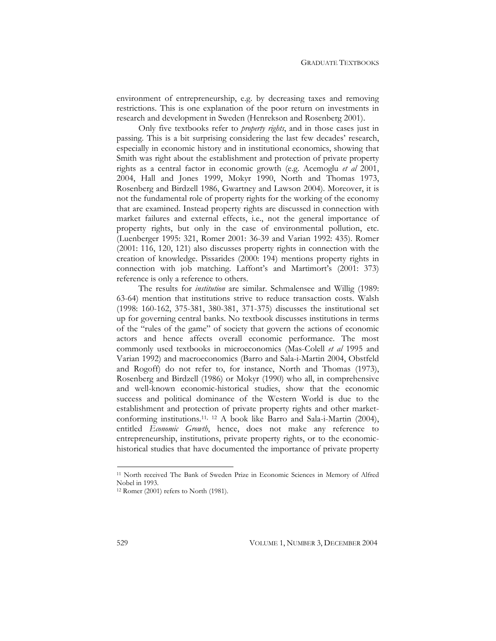environment of entrepreneurship, e.g. by decreasing taxes and removing restrictions. This is one explanation of the poor return on investments in research and development in Sweden (Henrekson and Rosenberg 2001).

Only five textbooks refer to *property rights*, and in those cases just in passing. This is a bit surprising considering the last few decades' research, especially in economic history and in institutional economics, showing that Smith was right about the establishment and protection of private property rights as a central factor in economic growth (e.g. Acemoglu *et al* 2001, 2004, Hall and Jones 1999, Mokyr 1990, North and Thomas 1973, Rosenberg and Birdzell 1986, Gwartney and Lawson 2004). Moreover, it is not the fundamental role of property rights for the working of the economy that are examined. Instead property rights are discussed in connection with market failures and external effects, i.e., not the general importance of property rights, but only in the case of environmental pollution, etc. (Luenberger 1995: 321, Romer 2001: 36-39 and Varian 1992: 435). Romer (2001: 116, 120, 121) also discusses property rights in connection with the creation of knowledge. Pissarides (2000: 194) mentions property rights in connection with job matching. Laffont's and Martimort's (2001: 373) reference is only a reference to others.

The results for *institution* are similar. Schmalensee and Willig (1989: 63-64) mention that institutions strive to reduce transaction costs. Walsh (1998: 160-162, 375-381, 380-381, 371-375) discusses the institutional set up for governing central banks. No textbook discusses institutions in terms of the "rules of the game" of society that govern the actions of economic actors and hence affects overall economic performance. The most commonly used textbooks in microeconomics (Mas-Colell *et al* 1995 and Varian 1992) and macroeconomics (Barro and Sala-i-Martin 2004, Obstfeld and Rogoff) do not refer to, for instance, North and Thomas (1973), Rosenberg and Birdzell (1986) or Mokyr (1990) who all, in comprehensive and well-known economic-historical studies, show that the economic success and political dominance of the Western World is due to the establishment and protection of private property rights and other marketconforming institutions.11, 12 A book like Barro and Sala-i-Martin (2004), entitled *Economic Growth*, hence, does not make any reference to entrepreneurship, institutions, private property rights, or to the economichistorical studies that have documented the importance of private property

<sup>11</sup> North received The Bank of Sweden Prize in Economic Sciences in Memory of Alfred Nobel in 1993.

<sup>12</sup> Romer (2001) refers to North (1981).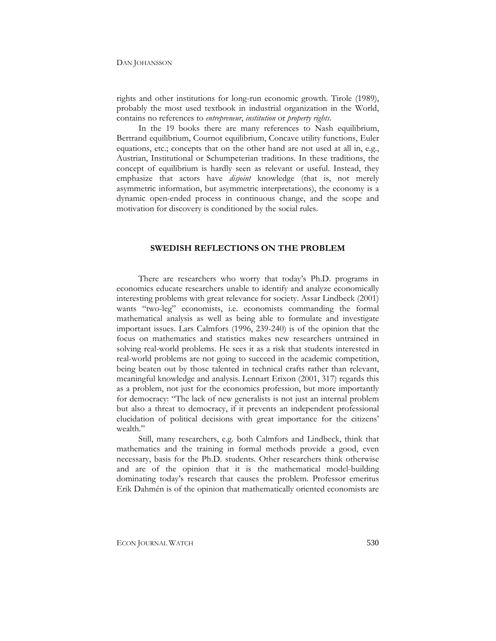rights and other institutions for long-run economic growth. Tirole (1989), probably the most used textbook in industrial organization in the World, contains no references to *entrepreneur*, *institution* or *property rights*.

In the 19 books there are many references to Nash equilibrium, Bertrand equilibrium, Cournot equilibrium, Concave utility functions, Euler equations, etc.; concepts that on the other hand are not used at all in, e.g., Austrian, Institutional or Schumpeterian traditions. In these traditions, the concept of equilibrium is hardly seen as relevant or useful. Instead, they emphasize that actors have *disjoint* knowledge (that is, not merely asymmetric information, but asymmetric interpretations), the economy is a dynamic open-ended process in continuous change, and the scope and motivation for discovery is conditioned by the social rules.

### **SWEDISH REFLECTIONS ON THE PROBLEM**

There are researchers who worry that today's Ph.D. programs in economics educate researchers unable to identify and analyze economically interesting problems with great relevance for society. Assar Lindbeck (2001) wants "two-leg" economists, i.e. economists commanding the formal mathematical analysis as well as being able to formulate and investigate important issues. Lars Calmfors (1996, 239-240) is of the opinion that the focus on mathematics and statistics makes new researchers untrained in solving real-world problems. He sees it as a risk that students interested in real-world problems are not going to succeed in the academic competition, being beaten out by those talented in technical crafts rather than relevant, meaningful knowledge and analysis. Lennart Erixon (2001, 317) regards this as a problem, not just for the economics profession, but more importantly for democracy: "The lack of new generalists is not just an internal problem but also a threat to democracy, if it prevents an independent professional elucidation of political decisions with great importance for the citizens' wealth."

Still, many researchers, e.g. both Calmfors and Lindbeck, think that mathematics and the training in formal methods provide a good, even necessary, basis for the Ph.D. students. Other researchers think otherwise and are of the opinion that it is the mathematical model-building dominating today's research that causes the problem. Professor emeritus Erik Dahmén is of the opinion that mathematically oriented economists are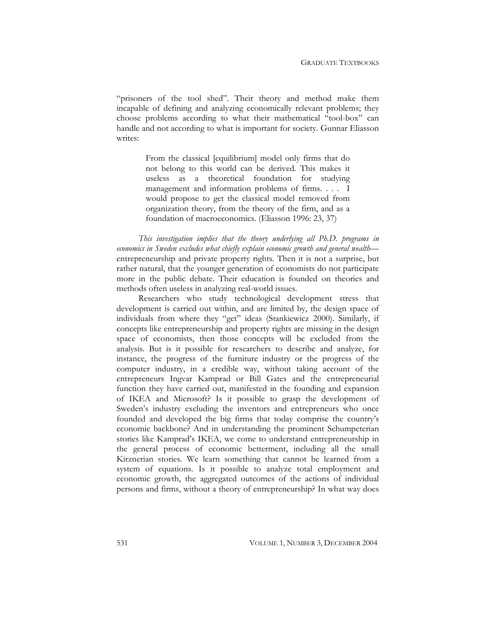"prisoners of the tool shed". Their theory and method make them incapable of defining and analyzing economically relevant problems; they choose problems according to what their mathematical "tool-box" can handle and not according to what is important for society. Gunnar Eliasson writes:

> From the classical [equilibrium] model only firms that do not belong to this world can be derived. This makes it useless as a theoretical foundation for studying management and information problems of firms. . . . I would propose to get the classical model removed from organization theory, from the theory of the firm, and as a foundation of macroeconomics. (Eliasson 1996: 23, 37)

*This investigation implies that the theory underlying all Ph.D. programs in*  economics in Sweden excludes what chiefly explain economic growth and general wealth entrepreneurship and private property rights. Then it is not a surprise, but rather natural, that the younger generation of economists do not participate more in the public debate. Their education is founded on theories and methods often useless in analyzing real-world issues.

Researchers who study technological development stress that development is carried out within, and are limited by, the design space of individuals from where they "get" ideas (Stankiewicz 2000). Similarly, if concepts like entrepreneurship and property rights are missing in the design space of economists, then those concepts will be excluded from the analysis. But is it possible for researchers to describe and analyze, for instance, the progress of the furniture industry or the progress of the computer industry, in a credible way, without taking account of the entrepreneurs Ingvar Kamprad or Bill Gates and the entrepreneurial function they have carried out, manifested in the founding and expansion of IKEA and Microsoft? Is it possible to grasp the development of Sweden's industry excluding the inventors and entrepreneurs who once founded and developed the big firms that today comprise the country's economic backbone? And in understanding the prominent Schumpeterian stories like Kamprad's IKEA, we come to understand entrepreneurship in the general process of economic betterment, including all the small Kirznerian stories. We learn something that cannot be learned from a system of equations. Is it possible to analyze total employment and economic growth, the aggregated outcomes of the actions of individual persons and firms, without a theory of entrepreneurship? In what way does

531 VOLUME 1, NUMBER 3, DECEMBER 2004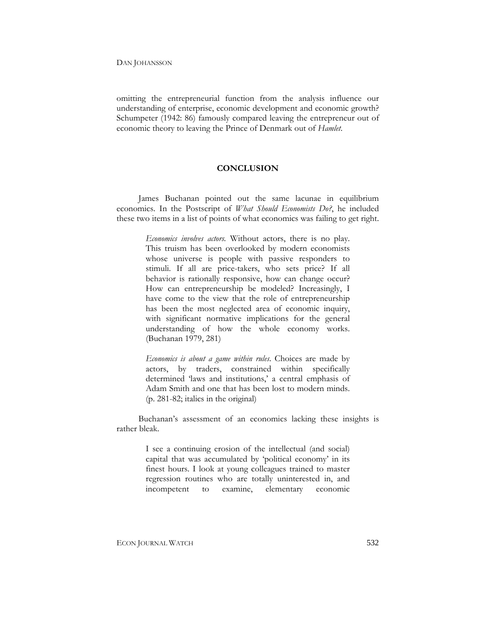omitting the entrepreneurial function from the analysis influence our understanding of enterprise, economic development and economic growth? Schumpeter (1942: 86) famously compared leaving the entrepreneur out of economic theory to leaving the Prince of Denmark out of *Hamlet*.

### **CONCLUSION**

James Buchanan pointed out the same lacunae in equilibrium economics. In the Postscript of *What Should Economists Do?*, he included these two items in a list of points of what economics was failing to get right.

> *Economics involves actors.* Without actors, there is no play. This truism has been overlooked by modern economists whose universe is people with passive responders to stimuli. If all are price-takers, who sets price? If all behavior is rationally responsive, how can change occur? How can entrepreneurship be modeled? Increasingly, I have come to the view that the role of entrepreneurship has been the most neglected area of economic inquiry, with significant normative implications for the general understanding of how the whole economy works. (Buchanan 1979, 281)

> *Economics is about a game within rules*. Choices are made by actors, by traders, constrained within specifically determined 'laws and institutions,' a central emphasis of Adam Smith and one that has been lost to modern minds. (p. 281-82; italics in the original)

Buchanan's assessment of an economics lacking these insights is rather bleak.

> I see a continuing erosion of the intellectual (and social) capital that was accumulated by 'political economy' in its finest hours. I look at young colleagues trained to master regression routines who are totally uninterested in, and incompetent to examine, elementary economic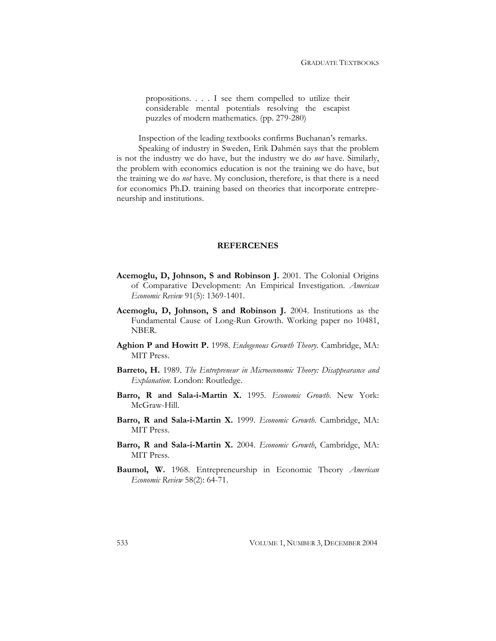propositions. . . . I see them compelled to utilize their considerable mental potentials resolving the escapist puzzles of modern mathematics. (pp. 279-280)

Inspection of the leading textbooks confirms Buchanan's remarks.

Speaking of industry in Sweden, Erik Dahmén says that the problem is not the industry we do have, but the industry we do *not* have. Similarly, the problem with economics education is not the training we do have, but the training we do *not* have. My conclusion, therefore, is that there is a need for economics Ph.D. training based on theories that incorporate entrepreneurship and institutions.

### **REFERCENES**

- **Acemoglu, D, Johnson, S and Robinson J.** 2001. The Colonial Origins of Comparative Development: An Empirical Investigation. *American Economic Review* 91(5): 1369-1401.
- **Acemoglu, D, Johnson, S and Robinson J.** 2004. Institutions as the Fundamental Cause of Long-Run Growth. Working paper no 10481, NBER.
- **Aghion P and Howitt P.** 1998. *Endogenous Growth Theory*. Cambridge, MA: MIT Press.
- **Barreto, H.** 1989. *The Entrepreneur in Microeconomic Theory: Disappearance and Explanation*. London: Routledge.
- **Barro, R and Sala-i-Martin X.** 1995. *Economic Growth*. New York: McGraw-Hill.
- **Barro, R and Sala-i-Martin X.** 1999. *Economic Growth*. Cambridge, MA: MIT Press.
- **Barro, R and Sala-i-Martin X.** 2004. *Economic Growth*, Cambridge, MA: MIT Press.
- **Baumol, W.** 1968. Entrepreneurship in Economic Theory *American Economic Review* 58(2): 64-71.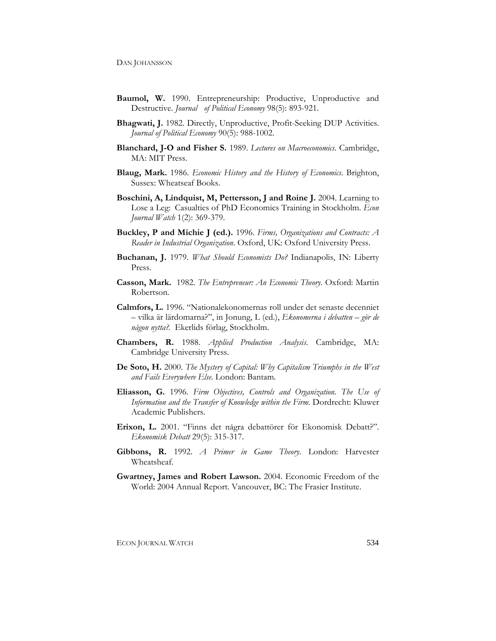- **Baumol, W.** 1990. Entrepreneurship: Productive, Unproductive and Destructive. *Journal of Political Economy* 98(5): 893-921.
- **Bhagwati, J.** 1982. Directly, Unproductive, Profit-Seeking DUP Activities. *Journal of Political Economy* 90(5): 988-1002.
- **Blanchard, J-O and Fisher S.** 1989. *Lectures on Macroeconomics*. Cambridge, MA: MIT Press.
- **Blaug, Mark.** 1986. *Economic History and the History of Economics*. Brighton, Sussex: Wheatseaf Books.
- **Boschini, A, Lindquist, M, Pettersson, J and Roine J.** 2004. Learning to Lose a Leg: Casualties of PhD Economics Training in Stockholm. *Econ Journal Watch* 1(2): 369-379.
- **Buckley, P and Michie J (ed.).** 1996. *Firms, Organizations and Contracts: A Reader in Industrial Organization*. Oxford, UK: Oxford University Press.
- **Buchanan, J.** 1979. *What Should Economists Do?* Indianapolis, IN: Liberty Press.
- **Casson, Mark.** 1982. *The Entrepreneur: An Economic Theory*. Oxford: Martin Robertson.
- **Calmfors, L.** 1996. "Nationalekonomernas roll under det senaste decenniet – vilka är lärdomarna?", in Jonung, L (ed.), *Ekonomerna i debatten – gör de någon nytta?.* Ekerlids förlag, Stockholm.
- **Chambers, R.** 1988. *Applied Production Analysis*. Cambridge, MA: Cambridge University Press.
- **De Soto, H.** 2000. *The Mystery of Capital: Why Capitalism Triumphs in the West and Fails Everywhere Else*. London: Bantam.
- **Eliasson, G.** 1996. *Firm Objectives, Controls and Organization. The Use of Information and the Transfer of Knowledge within the Firm*. Dordrecht: Kluwer Academic Publishers.
- **Erixon, L.** 2001. "Finns det några debattörer för Ekonomisk Debatt?". *Ekonomisk Debatt* 29(5): 315-317.
- **Gibbons, R.** 1992. *A Primer in Game Theory*. London: Harvester Wheatsheaf.
- **Gwartney, James and Robert Lawson.** 2004. Economic Freedom of the World: 2004 Annual Report. Vancouver, BC: The Frasier Institute.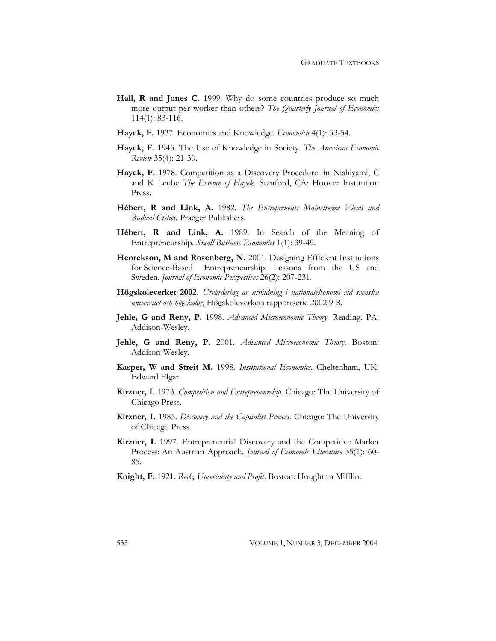- Hall, R and Jones C. 1999. Why do some countries produce so much more output per worker than others? *The Quarterly Journal of Economics* 114(1): 83-116.
- **Hayek, F.** 1937. Economics and Knowledge. *Economica* 4(1): 33-54.
- **Hayek, F.** 1945. The Use of Knowledge in Society. *The American Economic Review* 35(4): 21-30.
- **Hayek, F.** 1978. Competition as a Discovery Procedure. in Nishiyami, C and K Leube *The Essence of Hayek.* Stanford, CA: Hoover Institution Press.
- **Hébert, R and Link, A.** 1982. *The Entrepreneur: Mainstream Views and Radical Critics.* Praeger Publishers.
- **Hébert, R and Link, A.** 1989. In Search of the Meaning of Entrepreneurship. *Small Business Economics* 1(1): 39-49.
- **Henrekson, M and Rosenberg, N.** 2001. Designing Efficient Institutions for Science-Based Entrepreneurship: Lessons from the US and Sweden. *Journal of Economic Perspectives* 26(2): 207-231.
- **Högskoleverket 2002.** *Utvärdering av utbildning i nationalekonomi vid svenska universitet och högskolor*, Högskoleverkets rapportserie 2002:9 R*.*
- **Jehle, G and Reny, P.** 1998. *Advanced Microeconomic Theory*. Reading, PA: Addison-Wesley.
- **Jehle, G and Reny, P.** 2001. *Advanced Microeconomic Theory*. Boston: Addison-Wesley.
- **Kasper, W and Streit M.** 1998. *Institutional Economics*. Cheltenham, UK: Edward Elgar.
- **Kirzner, I.** 1973. *Competition and Entrepreneurship*. Chicago: The University of Chicago Press.
- **Kirzner, I.** 1985. *Discovery and the Capitalist Process*. Chicago: The University of Chicago Press.
- **Kirzner, I.** 1997. Entrepreneurial Discovery and the Competitive Market Process: An Austrian Approach. *Journal of Economic Literature* 35(1): 60- 85.
- **Knight, F.** 1921. *Risk, Uncertainty and Profit*. Boston: Houghton Mifflin.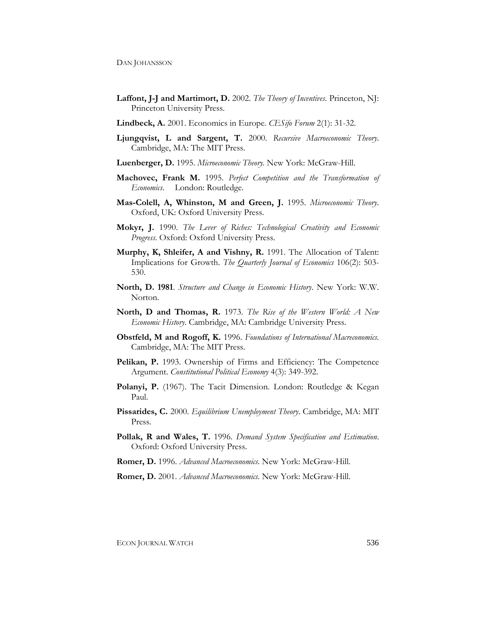- **Laffont, J-J and Martimort, D.** 2002. *The Theory of Incentives*. Princeton, NJ: Princeton University Press.
- **Lindbeck, A.** 2001. Economics in Europe. *CESifo Forum* 2(1): 31-32.
- **Ljungqvist, L and Sargent, T.** 2000. *Recursive Macroeconomic Theory*. Cambridge, MA: The MIT Press.
- **Luenberger, D.** 1995. *Microeconomic Theory*. New York: McGraw-Hill.
- **Machovec, Frank M.** 1995. *Perfect Competition and the Transformation of Economics*. London: Routledge.
- **Mas-Colell, A, Whinston, M and Green, J.** 1995. *Microeconomic Theory*. Oxford, UK: Oxford University Press.
- **Mokyr, J.** 1990. *The Lever of Riches: Technological Creativity and Economic Progress*. Oxford: Oxford University Press.
- **Murphy, K, Shleifer, A and Vishny, R.** 1991. The Allocation of Talent: Implications for Growth. *The Quarterly Journal of Economics* 106(2): 503- 530.
- **North, D. 1981**. *Structure and Change in Economic History*. New York: W.W. Norton.
- **North, D and Thomas, R.** 1973. *The Rise of the Western World: A New Economic History*. Cambridge, MA: Cambridge University Press.
- **Obstfeld, M and Rogoff, K.** 1996. *Foundations of International Macreconomics.*  Cambridge, MA: The MIT Press.
- **Pelikan, P.** 1993. Ownership of Firms and Efficiency: The Competence Argument. *Constitutional Political Economy* 4(3): 349-392.
- Polanyi, P. (1967). The Tacit Dimension. London: Routledge & Kegan Paul.
- **Pissarides, C.** 2000. *Equilibrium Unemployment Theory*. Cambridge, MA: MIT Press.
- **Pollak, R and Wales, T.** 1996. *Demand System Specification and Estimation*. Oxford: Oxford University Press.
- **Romer, D.** 1996. *Advanced Macroeconomics*. New York: McGraw-Hill.
- **Romer, D.** 2001. *Advanced Macroeconomics*. New York: McGraw-Hill.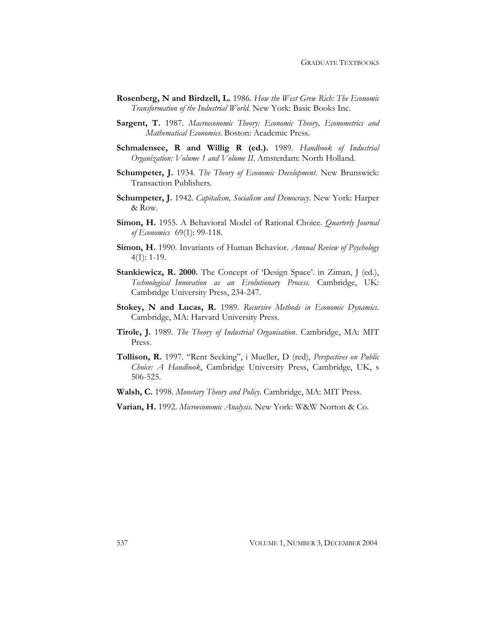- **Rosenberg, N and Birdzell, L.** 1986. *How the West Grew Rich: The Economic Transformation of the Industrial World*. New York: Basic Books Inc.
- **Sargent, T.** 1987. *Macroeconomic Theory: Economic Theory, Econometrics and Mathematical Economics*. Boston: Academic Press.
- **Schmalensee, R and Willig R (ed.).** 1989. *Handbook of Industrial Organization: Volume 1 and Volume II*. Amsterdam: North Holland.
- **Schumpeter, J.** 1934. *The Theory of Economic Development*. New Brunswick: Transaction Publishers.
- **Schumpeter, J.** 1942. *Capitalism, Socialism and Democracy*. New York: Harper & Row.
- **Simon, H.** 1955. A Behavioral Model of Rational Choice. *Quarterly Journal of Economics* 69(1): 99-118.
- **Simon, H.** 1990. Invariants of Human Behavior. *Annual Review of Psychology* 4(1): 1-19.
- **Stankiewicz, R. 2000.** The Concept of 'Design Space'. in Ziman, J (ed.), *Technological Innovation as an Evolutionary Process*. Cambridge, UK: Cambridge University Press, 234-247.
- **Stokey, N and Lucas, R.** 1989. *Recursive Methods in Economic Dynamics*. Cambridge, MA: Harvard University Press.
- **Tirole, J.** 1989. *The Theory of Industrial Organisation*. Cambridge, MA: MIT Press.
- **Tollison, R.** 1997. "Rent Seeking", i Mueller, D (red), *Perspectives on Public Choice: A Handbook*, Cambridge University Press, Cambridge, UK, s 506-525.

**Walsh, C.** 1998. *Monetary Theory and Policy*. Cambridge, MA: MIT Press.

**Varian, H.** 1992. *Microeconomic Analysis*. New York: W&W Norton & Co.

537 VOLUME 1, NUMBER 3, DECEMBER 2004